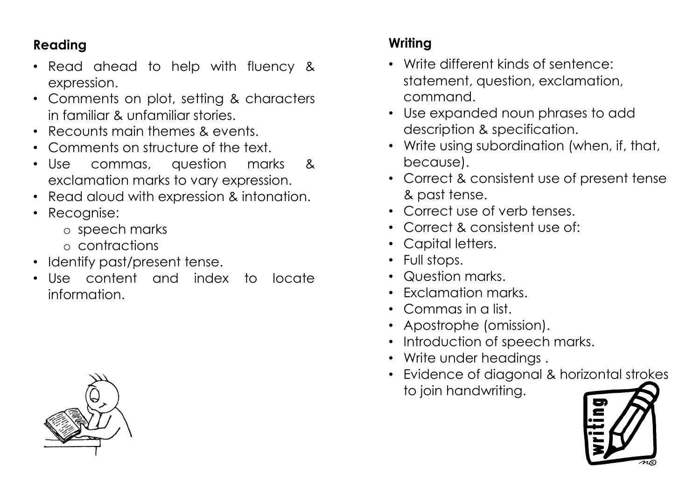## **Reading**

- Read ahead to help with fluency & expression.
- Comments on plot, setting & characters in familiar & unfamiliar stories.
- Recounts main themes & events.
- Comments on structure of the text.
- Use commas, question marks & exclamation marks to vary expression.
- Read aloud with expression & intonation.
- Recognise:
	- o speech marks
	- o contractions
- Identify past/present tense.
- Use content and index to locate information.

## **Writing**

- Write different kinds of sentence: statement, question, exclamation, command.
- Use expanded noun phrases to add description & specification.
- Write using subordination (when, if, that, because).
- Correct & consistent use of present tense & past tense.
- Correct use of verb tenses.
- Correct & consistent use of:
- Capital letters.
- Full stops.
- Question marks.
- Exclamation marks.
- Commas in a list.
- Apostrophe (omission).
- Introduction of speech marks.
- Write under headings.
- Evidence of diagonal & horizontal strokes to join handwriting.